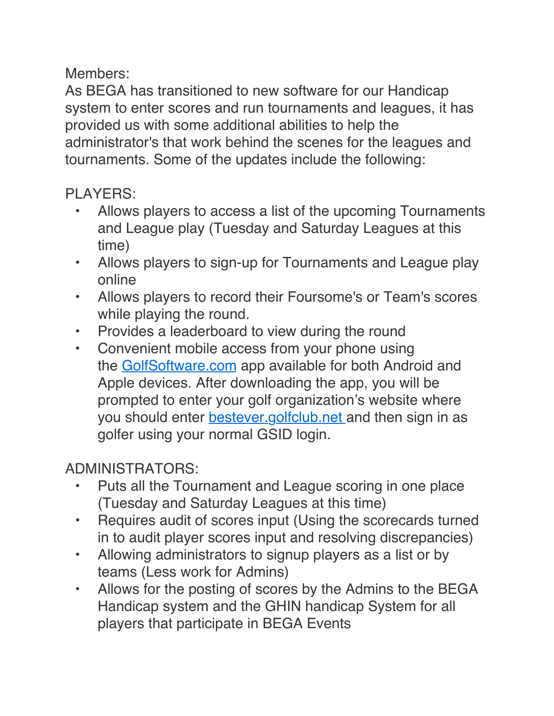Members:

As BEGA has transitioned to new software for our Handicap system to enter scores and run tournaments and leagues, it has provided us with some additional abilities to help the administrator's that work behind the scenes for the leagues and tournaments. Some of the updates include the following:

## PLAYERS:

- Allows players to access a list of the upcoming Tournaments and League play (Tuesday and Saturday Leagues at this time)
- Allows players to sign-up for Tournaments and League play online
- Allows players to record their Foursome's or Team's scores while playing the round.
- Provides a leaderboard to view during the round
- Convenient mobile access from your phone using the [GolfSoftware.com](http://golfsoftware.com/) app available for both Android and Apple devices. After downloading the app, you will be prompted to enter your golf organization's website where you should enter [bestever.golf](http://bestever.golfgroup.info/)club.net and then sign in as golfer using your normal GSID login.

## ADMINISTRATORS:

- Puts all the Tournament and League scoring in one place (Tuesday and Saturday Leagues at this time)
- Requires audit of scores input (Using the scorecards turned in to audit player scores input and resolving discrepancies)
- Allowing administrators to signup players as a list or by teams (Less work for Admins)
- Allows for the posting of scores by the Admins to the BEGA Handicap system and the GHIN handicap System for all players that participate in BEGA Events